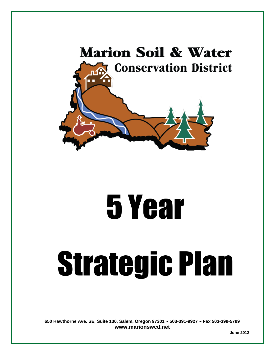

# 5 Year

# Strategic Plan

**650 Hawthorne Ave. SE, Suite 130, Salem, Oregon 97301 ~ 503-391-9927 ~ Fax 503-399-5799 [www.marionswcd.net](http://www.marionswcd.net/)** 

 **June 2012**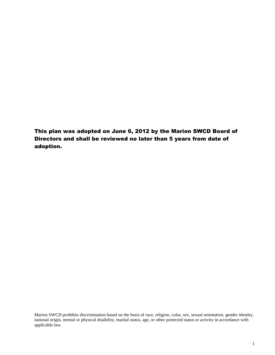This plan was adopted on June 6, 2012 by the Marion SWCD Board of Directors and shall be reviewed no later than 5 years from date of adoption.

Marion SWCD prohibits discrimination based on the basis of race, religion, color, sex, sexual orientation, gender identity, national origin, mental or physical disability, marital status, age, or other protected status or activity in accordance with applicable law.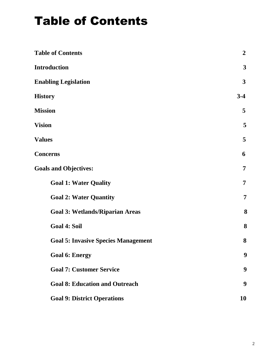## Table of Contents

| <b>Table of Contents</b>                   | $\boldsymbol{2}$ |
|--------------------------------------------|------------------|
| <b>Introduction</b>                        | $\mathbf{3}$     |
| <b>Enabling Legislation</b>                | $\mathbf{3}$     |
| <b>History</b>                             | $3-4$            |
| <b>Mission</b>                             | 5                |
| <b>Vision</b>                              | 5                |
| <b>Values</b>                              | 5                |
| <b>Concerns</b>                            | 6                |
| <b>Goals and Objectives:</b>               | $\overline{7}$   |
| <b>Goal 1: Water Quality</b>               | $\overline{7}$   |
| <b>Goal 2: Water Quantity</b>              | $\overline{7}$   |
| <b>Goal 3: Wetlands/Riparian Areas</b>     | 8                |
| <b>Goal 4: Soil</b>                        | 8                |
| <b>Goal 5: Invasive Species Management</b> | 8                |
| <b>Goal 6: Energy</b>                      | 9                |
| <b>Goal 7: Customer Service</b>            | 9                |
| <b>Goal 8: Education and Outreach</b>      | 9                |
| <b>Goal 9: District Operations</b>         | 10               |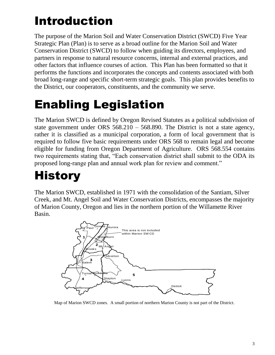## Introduction

The purpose of the Marion Soil and Water Conservation District (SWCD) Five Year Strategic Plan (Plan) is to serve as a broad outline for the Marion Soil and Water Conservation District (SWCD) to follow when guiding its directors, employees, and partners in response to natural resource concerns, internal and external practices, and other factors that influence courses of action. This Plan has been formatted so that it performs the functions and incorporates the concepts and contents associated with both broad long-range and specific short-term strategic goals. This plan provides benefits to the District, our cooperators, constituents, and the community we serve.

## Enabling Legislation

The Marion SWCD is defined by Oregon Revised Statutes as a political subdivision of state government under ORS 568.210 – 568.890. The District is not a state agency, rather it is classified as a municipal corporation, a form of local government that is required to follow five basic requirements under ORS 568 to remain legal and become eligible for funding from Oregon Department of Agriculture. ORS 568.554 contains two requirements stating that, "Each conservation district shall submit to the ODA its proposed long-range plan and annual work plan for review and comment."

## **History**

The Marion SWCD, established in 1971 with the consolidation of the Santiam, Silver Creek, and Mt. Angel Soil and Water Conservation Districts, encompasses the majority of Marion County, Oregon and lies in the northern portion of the Willamette River Basin.



Map of Marion SWCD zones. A small portion of northern Marion County is not part of the District.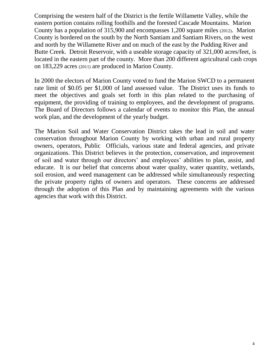Comprising the western half of the District is the fertile Willamette Valley, while the eastern portion contains rolling foothills and the forested Cascade Mountains. Marion County has a population of 315,900 and encompasses 1,200 square miles (2012). Marion County is bordered on the south by the North Santiam and Santiam Rivers, on the west and north by the Willamette River and on much of the east by the Pudding River and Butte Creek. Detroit Reservoir, with a useable storage capacity of 321,000 acres/feet, is located in the eastern part of the county. More than 200 different agricultural cash crops on 183,229 acres (2011) are produced in Marion County.

In 2000 the electors of Marion County voted to fund the Marion SWCD to a permanent rate limit of \$0.05 per \$1,000 of land assessed value. The District uses its funds to meet the objectives and goals set forth in this plan related to the purchasing of equipment, the providing of training to employees, and the development of programs. The Board of Directors follows a calendar of events to monitor this Plan, the annual work plan, and the development of the yearly budget.

The Marion Soil and Water Conservation District takes the lead in soil and water conservation throughout Marion County by working with urban and rural property owners, operators, Public Officials, various state and federal agencies, and private organizations. This District believes in the protection, conservation, and improvement of soil and water through our directors' and employees' abilities to plan, assist, and educate. It is our belief that concerns about water quality, water quantity, wetlands, soil erosion, and weed management can be addressed while simultaneously respecting the private property rights of owners and operators. These concerns are addressed through the adoption of this Plan and by maintaining agreements with the various agencies that work with this District.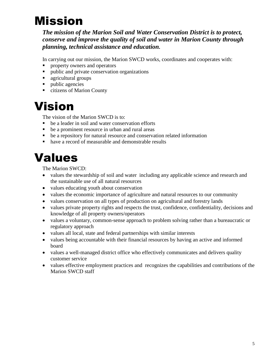## Mission

*The mission of the Marion Soil and Water Conservation District is to protect, conserve and improve the quality of soil and water in Marion County through planning, technical assistance and education.*

In carrying out our mission, the Marion SWCD works, coordinates and cooperates with:

- **Peroperty owners and operators**
- **public and private conservation organizations**
- **agricultural groups**
- public agencies
- citizens of Marion County

### Vision

The vision of the Marion SWCD is to:

- be a leader in soil and water conservation efforts
- be a prominent resource in urban and rural areas
- be a repository for natural resource and conservation related information
- have a record of measurable and demonstrable results

### Values

The Marion SWCD:

- values the stewardship of soil and water including any applicable science and research and the sustainable use of all natural resources
- values educating youth about conservation
- values the economic importance of agriculture and natural resources to our community
- values conservation on all types of production on agricultural and forestry lands
- values private property rights and respects the trust, confidence, confidentiality, decisions and knowledge of all property owners/operators
- values a voluntary, common-sense approach to problem solving rather than a bureaucratic or regulatory approach
- values all local, state and federal partnerships with similar interests
- values being accountable with their financial resources by having an active and informed board
- values a well-managed district office who effectively communicates and delivers quality customer service
- values effective employment practices and recognizes the capabilities and contributions of the Marion SWCD staff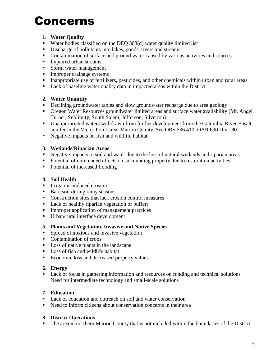## Concerns

#### **1. Water Quality**

- Water bodies classified on the DEQ  $303(d)$  water quality limited list
- Discharge of pollutants into lakes, ponds, rivers and streams
- Contamination of surface and ground water caused by various activities and sources
- **Impaired urban streams**
- Storm water management
- **Improper drainage systems**
- Inappropriate use of fertilizers, pesticides, and other chemicals within urban and rural areas
- Lack of baseline water quality data in impacted areas within the District

#### **2. Water Quantity**

- Declining groundwater tables and slow groundwater recharge due to area geology
- Oregon Water Resources groundwater limited areas and surface water availability (Mt. Angel, Turner, Sublimity, South Salem, Jefferson, Silverton)
- Unappropriated waters withdrawn from further development from the Columbia River Basalt aquifer in the Victor Point area, Marion County. See ORS 536.410; OAR 690 Div. 80
- Negative impacts on fish and wildlife habitat

#### **3. Wetlands/Riparian Areas**

- Negative impacts to soil and water due to the loss of natural wetlands and riparian areas
- Potential of unintended effects on surrounding property due to restoration activities
- Potential of increased flooding

#### **4. Soil Health**

- **Irrigation-induced erosion**
- Bare soil during rainy seasons
- Construction sites that lack erosion control measures
- Lack of healthy riparian vegetation or buffers
- **Improper application of management practices**
- Urban/rural interface development

#### **5. Plants and Vegetation, Invasive and Native Species**

- **Spread of noxious and invasive vegetation**
- Contamination of crops
- Loss of native plants in the landscape
- **Loss of fish and wildlife habitat**
- Economic loss and decreased property values

#### **6. Energy**

**Lack of focus in gathering information and resources on funding and technical solutions** Need for intermediate technology and small-scale solutions

#### **7. Education**

- Lack of education and outreach on soil and water conservation
- Need to inform citizens about conservation concerns in their area

#### **8. District Operations**

The area in northern Marion County that is not included within the boundaries of the District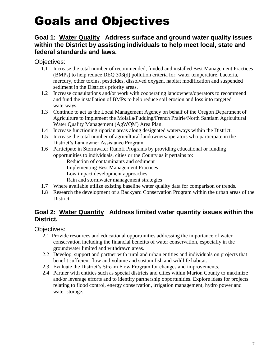## Goals and Objectives

#### **Goal 1: Water Quality Address surface and ground water quality issues within the District by assisting individuals to help meet local, state and federal standards and laws.**

Objectives:

- 1.1 Increase the total number of recommended, funded and installed Best Management Practices (BMPs) to help reduce DEQ 303(d) pollution criteria for: water temperature, bacteria, mercury, other toxins, pesticides, dissolved oxygen, habitat modification and suspended sediment in the District's priority areas.
- 1.2 Increase consultations and/or work with cooperating landowners/operators to recommend and fund the installation of BMPs to help reduce soil erosion and loss into targeted waterways.
- 1.3 Continue to act as the Local Management Agency on behalf of the Oregon Department of Agriculture to implement the Molalla/Pudding/French Prairie/North Santiam Agricultural Water Quality Management (AgWQM) Area Plan.
- 1.4 Increase functioning riparian areas along designated waterways within the District.
- 1.5 Increase the total number of agricultural landowners/operators who participate in the District's Landowner Assistance Program.
- 1.6 Participate in Stormwater Runoff Programs by providing educational or funding opportunities to individuals, cities or the County as it pertains to:

Reduction of contaminants and sediment

Implementing Best Management Practices

Low impact development approaches

Rain and stormwater management strategies

- 1.7 Where available utilize existing baseline water quality data for comparison or trends.
- 1.8 Research the development of a Backyard Conservation Program within the urban areas of the District.

#### **Goal 2: Water Quantity Address limited water quantity issues within the District.**

Objectives:

- 2.1 Provide resources and educational opportunities addressing the importance of water conservation including the financial benefits of water conservation, especially in the groundwater limited and withdrawn areas.
- 2.2 Develop, support and partner with rural and urban entities and individuals on projects that benefit sufficient flow and volume and sustain fish and wildlife habitat.
- 2.3 Evaluate the District's Stream Flow Program for changes and improvements.
- 2.4 Partner with entities such as special districts and cities within Marion County to maximize and/or leverage efforts and to identify partnership opportunities. Explore ideas for projects relating to flood control, energy conservation, irrigation management, hydro power and water storage.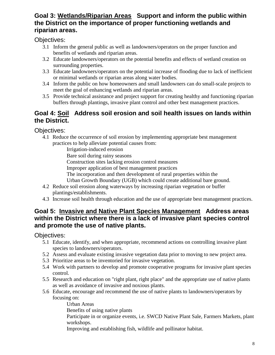#### **Goal 3: Wetlands/Riparian Areas Support and inform the public within the District on the importance of proper functioning wetlands and riparian areas.**

Objectives:

- 3.1 Inform the general public as well as landowners/operators on the proper function and benefits of wetlands and riparian areas.
- 3.2 Educate landowners/operators on the potential benefits and effects of wetland creation on surrounding properties.
- 3.3 Educate landowners/operators on the potential increase of flooding due to lack of inefficient or minimal wetlands or riparian areas along water bodies.
- 3.4 Inform the public on how homeowners and small landowners can do small-scale projects to meet the goal of enhancing wetlands and riparian areas.
- 3.5 Provide technical assistance and project support for creating healthy and functioning riparian buffers through plantings, invasive plant control and other best management practices.

#### **Goal 4: Soil Address soil erosion and soil health issues on lands within the District.**

Objectives:

4.1 Reduce the occurrence of soil erosion by implementing appropriate best management practices to help alleviate potential causes from:

Irrigation-induced erosion

Bare soil during rainy seasons

Construction sites lacking erosion control measures

- Improper application of best management practices
- The incorporation and then development of rural properties within the

Urban Growth Boundary (UGB) which could create additional bare ground.

- 4.2 Reduce soil erosion along waterways by increasing riparian vegetation or buffer plantings/establishments.
- 4.3 Increase soil health through education and the use of appropriate best management practices.

#### **Goal 5: Invasive and Native Plant Species Management Address areas within the District where there is a lack of invasive plant species control and promote the use of native plants.**

Objectives:

- 5.1 Educate, identify, and when appropriate, recommend actions on controlling invasive plant species to landowners/operators.
- 5.2 Assess and evaluate existing invasive vegetation data prior to moving to new project area.
- 5.3 Prioritize areas to be inventoried for invasive vegetation.
- 5.4 Work with partners to develop and promote cooperative programs for invasive plant species control.
- 5.5 Research and education on "right plant, right place" and the appropriate use of native plants as well as avoidance of invasive and noxious plants.
- 5.6 Educate, encourage and recommend the use of native plants to landowners/operators by focusing on:

Urban Areas Benefits of using native plants Participate in or organize events, i.e. SWCD Native Plant Sale, Farmers Markets, plant workshops. Improving and establishing fish, wildlife and pollinator habitat.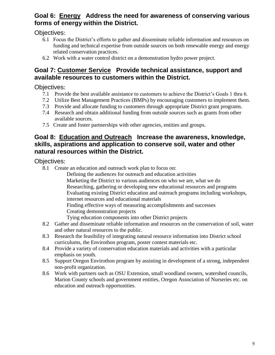#### **Goal 6: Energy Address the need for awareness of conserving various forms of energy within the District.**

Objectives:

- 6.1 Focus the District's efforts to gather and disseminate reliable information and resources on funding and technical expertise from outside sources on both renewable energy and energy related conservation practices.
- 6.2 Work with a water control district on a demonstration hydro power project.

#### **Goal 7: Customer Service Provide technical assistance, support and available resources to customers within the District.**

Objectives:

- 7.1 Provide the best available assistance to customers to achieve the District's Goals 1 thru 6.
- 7.2 Utilize Best Management Practices (BMPs) by encouraging customers to implement them.
- 7.3 Provide and allocate funding to customers through appropriate District grant programs.
- 7.4 Research and obtain additional funding from outside sources such as grants from other available sources.
- 7.5 Create and foster partnerships with other agencies, entities and groups.

#### **Goal 8: Education and Outreach Increase the awareness, knowledge, skills, aspirations and application to conserve soil, water and other natural resources within the District.**

Objectives:

8.1 Create an education and outreach work plan to focus on:

Defining the audiences for outreach and education activities Marketing the District to various audiences on who we are, what we do Researching, gathering or developing new educational resources and programs Evaluating existing District education and outreach programs including workshops, internet resources and educational materials Finding effective ways of measuring accomplishments and successes Creating demonstration projects Tying education components into other District projects

- 8.2 Gather and disseminate reliable information and resources on the conservation of soil, water and other natural resources to the public.
- 8.3 Research the feasibility of integrating natural resource information into District school curriculums, the Envirothon program, poster contest materials etc.
- 8.4 Provide a variety of conservation education materials and activities with a particular emphasis on youth.
- 8.5 Support Oregon Envirothon program by assisting in development of a strong, independent non-profit organization.
- 8.6 Work with partners such as OSU Extension, small woodland owners, watershed councils, Marion County schools and government entities, Oregon Association of Nurseries etc. on education and outreach opportunities.